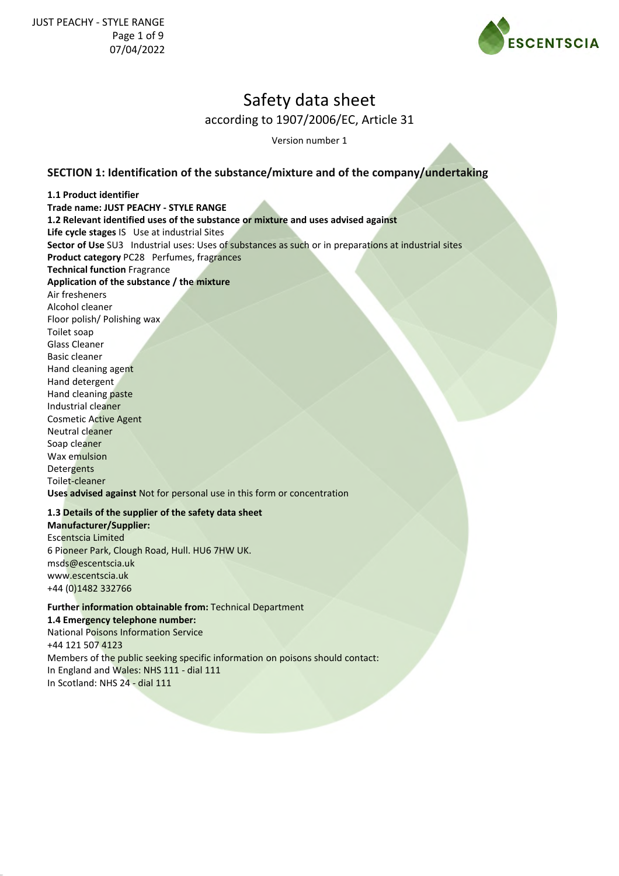

Version number 1

## **SECTION 1: Identification of the substance/mixture and of the company/undertaking**

**1.1 Product identifier Trade name: JUST PEACHY - STYLE RANGE 1.2 Relevant identified uses of the substance or mixture and uses advised against Life cycle stages** IS Use at industrial Sites **Sector of Use** SU3 Industrial uses: Uses of substances as such or in preparations at industrial sites **Product category** PC28 Perfumes, fragrances **Technical function** Fragrance **Application of the substance / the mixture** Air fresheners Alcohol cleaner Floor polish/ Polishing wax Toilet soap Glass Cleaner Basic cleaner Hand cleaning agent Hand detergent Hand cleaning paste Industrial cleaner Cosmetic Active Agent Neutral cleaner Soap cleaner Wax emulsion **Detergents** Toilet-cleaner **Uses advised against** Not for personal use in this form or concentration

### **1.3 Details of the supplier of the safety data sheet**

**Manufacturer/Supplier:** Escentscia Limited 6 Pioneer Park, Clough Road, Hull. HU6 7HW UK. msds@escentscia.uk www.escentscia.uk +44 (0)1482 332766

### **Further information obtainable from:** Technical Department **1.4 Emergency telephone number:** National Poisons Information Service

+44 121 507 4123 Members of the public seeking specific information on poisons should contact: In England and Wales: NHS 111 - dial 111 In Scotland: NHS 24 - dial 111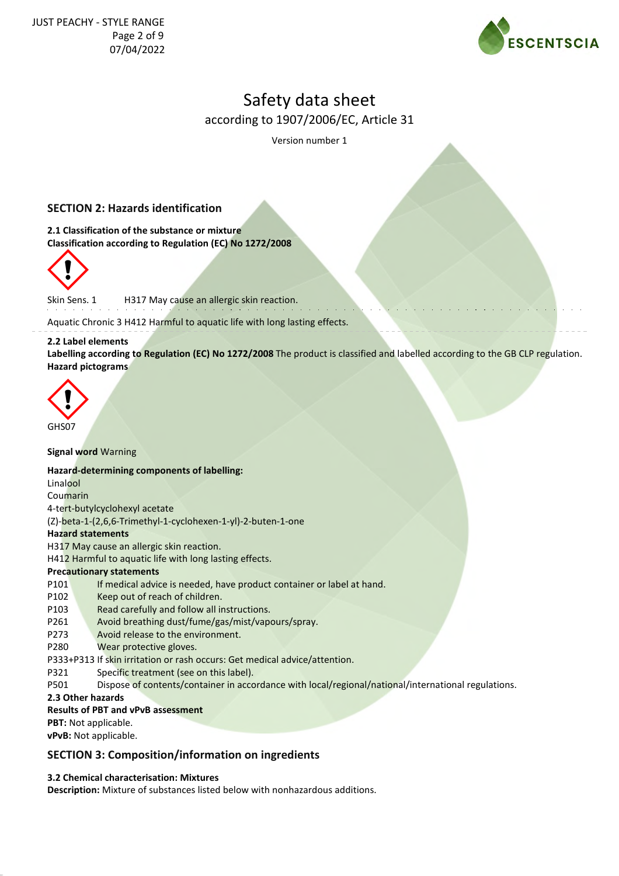

Version number 1

### **SECTION 2: Hazards identification**

**2.1 Classification of the substance or mixture Classification according to Regulation (EC) No 1272/2008**



Skin Sens. 1 H317 May cause an allergic skin reaction.

Aquatic Chronic 3 H412 Harmful to aquatic life with long lasting effects.

#### **2.2 Label elements**

**Labelling according to Regulation (EC) No 1272/2008** The product is classified and labelled according to the GB CLP regulation. **Hazard pictograms**



**Signal word** Warning

#### **Hazard-determining components of labelling:**

Linalool Coumarin 4-tert-butylcyclohexyl acetate (Z)-beta-1-(2,6,6-Trimethyl-1-cyclohexen-1-yl)-2-buten-1-one **Hazard statements** H317 May cause an allergic skin reaction. H412 Harmful to aquatic life with long lasting effects. **Precautionary statements** P101 If medical advice is needed, have product container or label at hand. P102 Keep out of reach of children. P103 Read carefully and follow all instructions. P261 Avoid breathing dust/fume/gas/mist/vapours/spray. P273 Avoid release to the environment. P280 Wear protective gloves. P333+P313 If skin irritation or rash occurs: Get medical advice/attention. P321 Specific treatment (see on this label).

P501 Dispose of contents/container in accordance with local/regional/national/international regulations.

**2.3 Other hazards**

#### **Results of PBT and vPvB assessment**

**PBT:** Not applicable.

**vPvB:** Not applicable.

### **SECTION 3: Composition/information on ingredients**

#### **3.2 Chemical characterisation: Mixtures**

**Description:** Mixture of substances listed below with nonhazardous additions.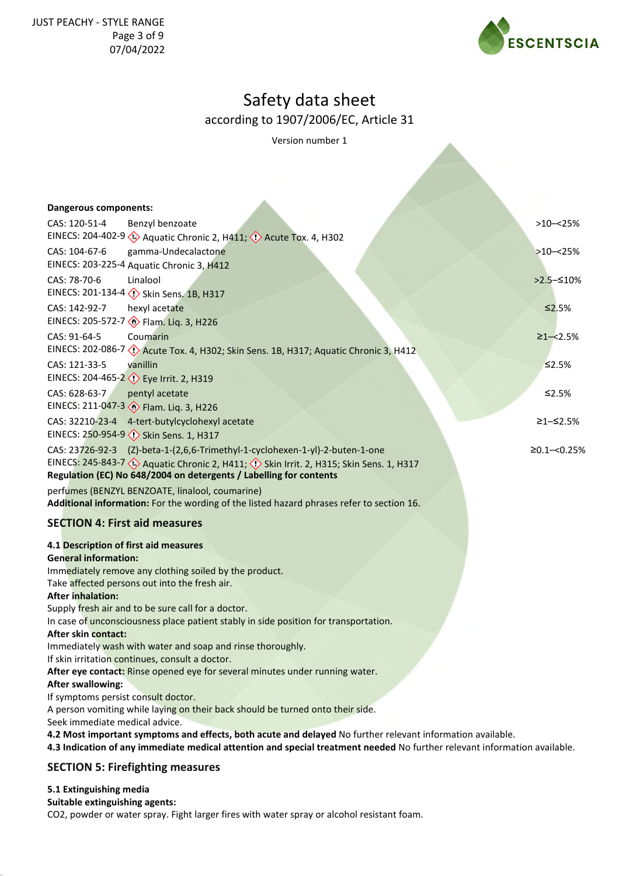

Version number 1

| <b>Dangerous components:</b>                                                                                              |                 |
|---------------------------------------------------------------------------------------------------------------------------|-----------------|
| CAS: 120-51-4<br>Benzyl benzoate                                                                                          | $>10 - 25%$     |
| EINECS: 204-402-9 (2) Aquatic Chronic 2, H411; (1) Acute Tox. 4, H302                                                     |                 |
| CAS: 104-67-6<br>gamma-Undecalactone                                                                                      | $>10 - 25%$     |
| EINECS: 203-225-4 Aquatic Chronic 3, H412                                                                                 |                 |
| CAS: 78-70-6<br>Linalool                                                                                                  | $>2.5 - 510%$   |
| EINECS: 201-134-4 <>> <>> Skin Sens. 1B, H317                                                                             |                 |
| CAS: 142-92-7<br>hexyl acetate                                                                                            | $\leq 2.5\%$    |
| EINECS: 205-572-7 > Flam. Liq. 3, H226                                                                                    |                 |
| Coumarin<br>CAS: 91-64-5                                                                                                  | $≥1 - < 2.5%$   |
| EINECS: 202-086-7 < <a> Acute Tox. 4, H302; Skin Sens. 1B, H317; Aquatic Chronic 3, H412</a>                              |                 |
| CAS: 121-33-5<br>vanillin<br>EINECS: 204-465-2 <>> Eye Irrit. 2, H319                                                     | $\leq$ 2.5%     |
| CAS: 628-63-7                                                                                                             | ≤2.5%           |
| pentyl acetate<br>EINECS: 211-047-3 >Flam. Liq. 3, H226                                                                   |                 |
| CAS: 32210-23-4<br>4-tert-butylcyclohexyl acetate                                                                         | ≥1–≤2.5%        |
| EINECS: 250-954-9 <>>> Skin Sens. 1, H317                                                                                 |                 |
| CAS: 23726-92-3 (Z)-beta-1-(2,6,6-Trimethyl-1-cyclohexen-1-yl)-2-buten-1-one                                              | $≥0.1 - <0.25%$ |
| EINECS: 245-843-7 <>>> Aquatic Chronic 2, H411; <>> ><>> Skin Irrit. 2, H315; Skin Sens. 1, H317                          |                 |
| Regulation (EC) No 648/2004 on detergents / Labelling for contents                                                        |                 |
| perfumes (BENZYL BENZOATE, linalool, coumarine)                                                                           |                 |
| Additional information: For the wording of the listed hazard phrases refer to section 16.                                 |                 |
| <b>SECTION 4: First aid measures</b>                                                                                      |                 |
| 4.1 Description of first aid measures                                                                                     |                 |
| <b>General information:</b>                                                                                               |                 |
| Immediately remove any clothing soiled by the product.                                                                    |                 |
| Take affected persons out into the fresh air.<br><b>After inhalation:</b>                                                 |                 |
| Supply fresh air and to be sure call for a doctor.                                                                        |                 |
| In case of unconsciousness place patient stably in side position for transportation.                                      |                 |
| After skin contact:                                                                                                       |                 |
| Immediately wash with water and soap and rinse thoroughly.                                                                |                 |
| If skin irritation continues, consult a doctor.                                                                           |                 |
| After eye contact: Rinse opened eye for several minutes under running water.<br><b>After swallowing:</b>                  |                 |
| If symptoms persist consult doctor.                                                                                       |                 |
| A person vomiting while laying on their back should be turned onto their side.                                            |                 |
| Seek immediate medical advice.                                                                                            |                 |
| 4.2 Most important symptoms and effects, both acute and delayed No further relevant information available.                |                 |
| 4.3 Indication of any immediate medical attention and special treatment needed No further relevant information available. |                 |
| <b>SECTION 5: Firefighting measures</b>                                                                                   |                 |
| 5.1 Extinguishing media<br>Suitable extinguishing agents:                                                                 |                 |

CO2, powder or water spray. Fight larger fires with water spray or alcohol resistant foam.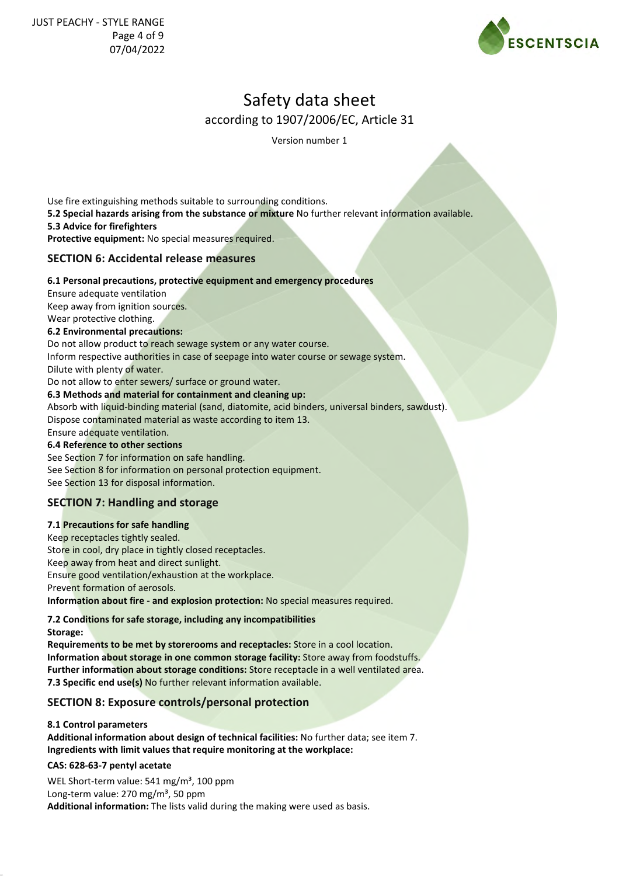

Version number 1

Use fire extinguishing methods suitable to surrounding conditions. **5.2 Special hazards arising from the substance or mixture** No further relevant information available. **5.3 Advice for firefighters Protective equipment:** No special measures required. **SECTION 6: Accidental release measures**

## **6.1 Personal precautions, protective equipment and emergency procedures**

Ensure adequate ventilation Keep away from ignition sources. Wear protective clothing.

#### **6.2 Environmental precautions:**

Do not allow product to reach sewage system or any water course.

Inform respective authorities in case of seepage into water course or sewage system.

Dilute with plenty of water.

Do not allow to enter sewers/ surface or ground water.

#### **6.3 Methods and material for containment and cleaning up:**

Absorb with liquid-binding material (sand, diatomite, acid binders, universal binders, sawdust). Dispose contaminated material as waste according to item 13.

Ensure adequate ventilation.

### **6.4 Reference to other sections**

See Section 7 for information on safe handling. See Section 8 for information on personal protection equipment. See Section 13 for disposal information.

## **SECTION 7: Handling and storage**

### **7.1 Precautions for safe handling**

Keep receptacles tightly sealed. Store in cool, dry place in tightly closed receptacles. Keep away from heat and direct sunlight. Ensure good ventilation/exhaustion at the workplace. Prevent formation of aerosols. **Information about fire - and explosion protection:** No special measures required.

**7.2 Conditions for safe storage, including any incompatibilities**

**Storage:**

**Requirements to be met by storerooms and receptacles:** Store in a cool location. **Information about storage in one common storage facility:** Store away from foodstuffs. **Further information about storage conditions:** Store receptacle in a well ventilated area. **7.3 Specific end use(s)** No further relevant information available.

## **SECTION 8: Exposure controls/personal protection**

#### **8.1 Control parameters**

**Additional information about design of technical facilities:** No further data; see item 7. **Ingredients with limit values that require monitoring at the workplace:**

#### **CAS: 628-63-7 pentyl acetate**

WEL Short-term value:  $541 \text{ mg/m}^3$ , 100 ppm Long-term value:  $270 \text{ mg/m}^3$ , 50 ppm **Additional information:** The lists valid during the making were used as basis.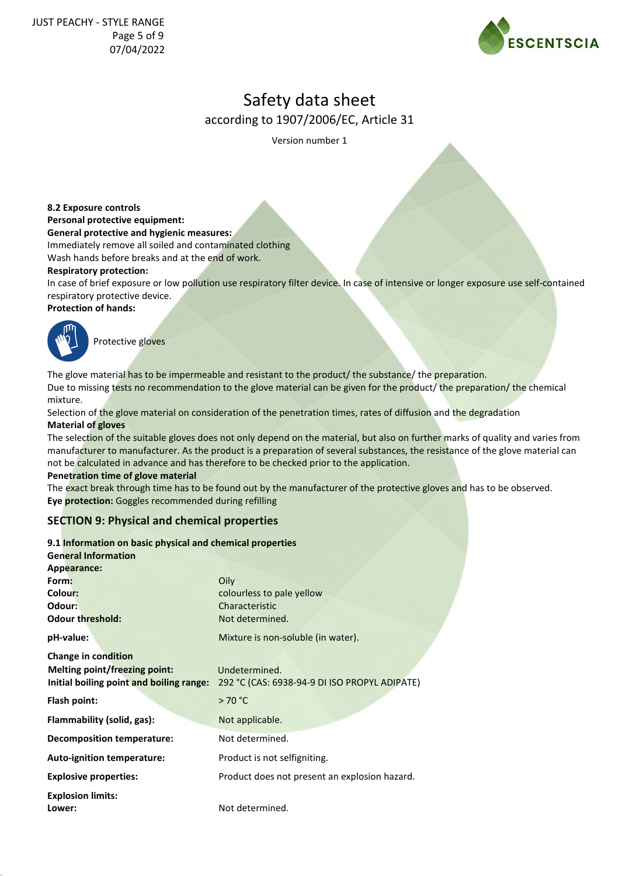

Version number 1

**8.2 Exposure controls**

**Personal protective equipment:**

**General protective and hygienic measures:**

Immediately remove all soiled and contaminated clothing

Wash hands before breaks and at the end of work.

#### **Respiratory protection:**

In case of brief exposure or low pollution use respiratory filter device. In case of intensive or longer exposure use self-contained respiratory protective device.

#### **Protection of hands:**



Protective gloves

The glove material has to be impermeable and resistant to the product/ the substance/ the preparation. Due to missing tests no recommendation to the glove material can be given for the product/ the preparation/ the chemical mixture.

Selection of the glove material on consideration of the penetration times, rates of diffusion and the degradation **Material of gloves**

The selection of the suitable gloves does not only depend on the material, but also on further marks of quality and varies from manufacturer to manufacturer. As the product is a preparation of several substances, the resistance of the glove material can not be calculated in advance and has therefore to be checked prior to the application.

#### **Penetration time of glove material**

The exact break through time has to be found out by the manufacturer of the protective gloves and has to be observed. **Eye protection:** Goggles recommended during refilling

## **SECTION 9: Physical and chemical properties**

#### **9.1 Information on basic physical and chemical properties**

| <b>General Information</b>               |                                               |
|------------------------------------------|-----------------------------------------------|
| Appearance:                              |                                               |
| Form:                                    | Oily                                          |
| Colour:                                  | colourless to pale yellow                     |
| Odour:                                   | Characteristic                                |
| <b>Odour threshold:</b>                  | Not determined.                               |
| pH-value:                                | Mixture is non-soluble (in water).            |
| Change in condition                      |                                               |
| <b>Melting point/freezing point:</b>     | Undetermined.                                 |
| Initial boiling point and boiling range: | 292 °C (CAS: 6938-94-9 DI ISO PROPYL ADIPATE) |
| Flash point:                             | >70 °C                                        |
| Flammability (solid, gas):               | Not applicable.                               |
| <b>Decomposition temperature:</b>        | Not determined.                               |
| <b>Auto-ignition temperature:</b>        | Product is not selfigniting.                  |
| <b>Explosive properties:</b>             | Product does not present an explosion hazard. |
| <b>Explosion limits:</b>                 |                                               |
| Lower:                                   | Not determined.                               |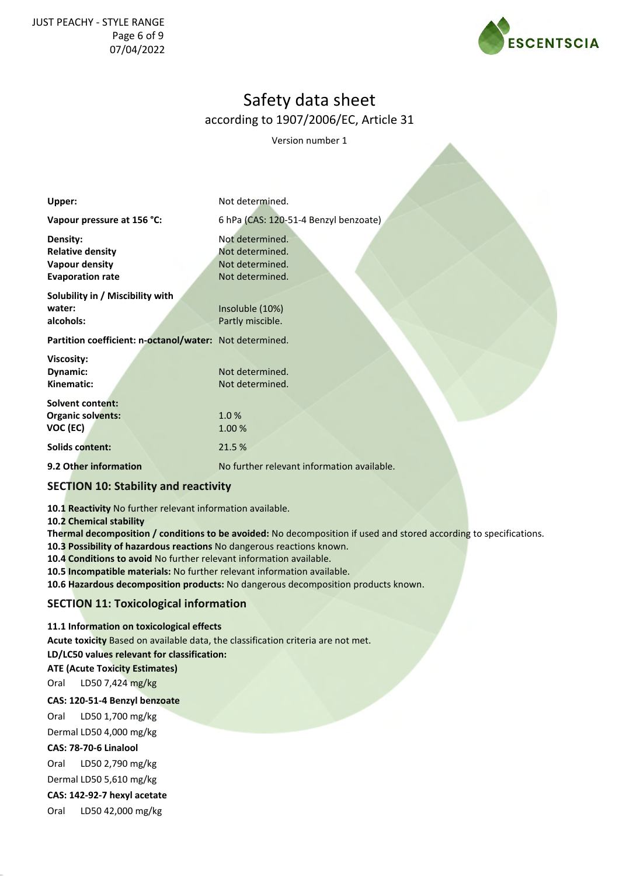### JUST PEACHY - STYLE RANGE Page 6 of 9 07/04/2022



## Safety data sheet according to 1907/2006/EC, Article 31

Version number 1

| Upper:                                                                           | Not determined.                                                          |
|----------------------------------------------------------------------------------|--------------------------------------------------------------------------|
| Vapour pressure at 156 °C:                                                       | 6 hPa (CAS: 120-51-4 Benzyl benzoate)                                    |
| Density:<br><b>Relative density</b><br>Vapour density<br><b>Evaporation rate</b> | Not determined.<br>Not determined.<br>Not determined.<br>Not determined. |
| Solubility in / Miscibility with<br>water:<br>alcohols:                          | Insoluble (10%)<br>Partly miscible.                                      |
| Partition coefficient: n-octanol/water: Not determined.                          |                                                                          |
| <b>Viscosity:</b><br>Dynamic:<br>Kinematic:                                      | Not determined.<br>Not determined.                                       |
| <b>Solvent content:</b><br><b>Organic solvents:</b><br>VOC (EC)                  | 1.0%<br>1.00 %                                                           |
| <b>Solids content:</b>                                                           | 21.5 %                                                                   |
| 9.2 Other information                                                            | No further relevant information available.                               |

## **SECTION 10: Stability and reactivity**

**10.1 Reactivity** No further relevant information available.

**10.2 Chemical stability**

**Thermal decomposition / conditions to be avoided:** No decomposition if used and stored according to specifications.

**10.3 Possibility of hazardous reactions** No dangerous reactions known.

**10.4 Conditions to avoid** No further relevant information available.

**10.5 Incompatible materials:** No further relevant information available.

**10.6 Hazardous decomposition products:** No dangerous decomposition products known.

## **SECTION 11: Toxicological information**

#### **11.1 Information on toxicological effects**

**Acute toxicity** Based on available data, the classification criteria are not met.

**LD/LC50 values relevant for classification:**

**ATE (Acute Toxicity Estimates)**

Oral LD50 7,424 mg/kg

#### **CAS: 120-51-4 Benzyl benzoate**

Oral LD50 1,700 mg/kg Dermal LD50 4,000 mg/kg

**CAS: 78-70-6 Linalool**

Oral LD50 2,790 mg/kg

Dermal LD50 5,610 mg/kg

**CAS: 142-92-7 hexyl acetate**

Oral LD50 42,000 mg/kg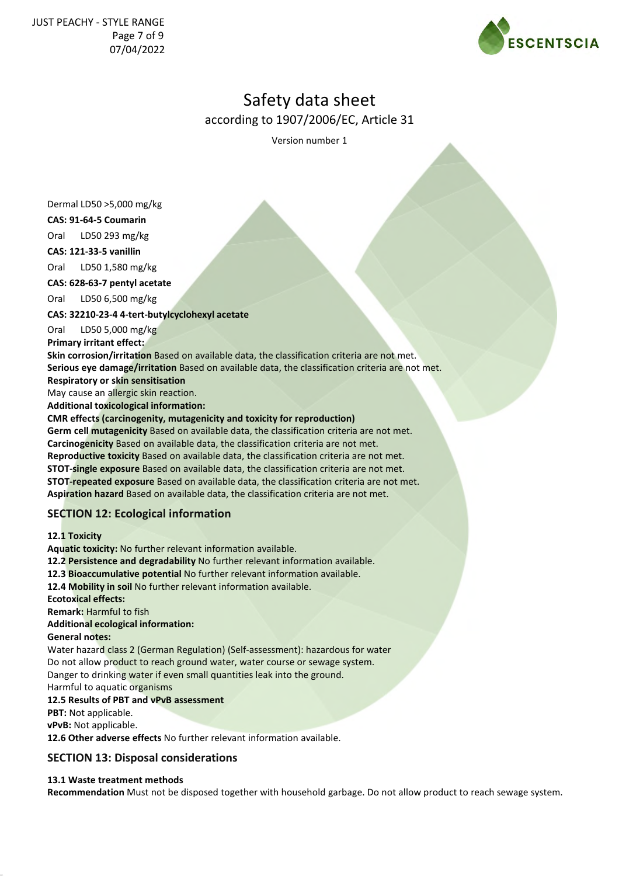

Version number 1

Dermal LD50 >5,000 mg/kg

**CAS: 91-64-5 Coumarin**

Oral LD50 293 mg/kg

**CAS: 121-33-5 vanillin**

Oral LD50 1,580 mg/kg

**CAS: 628-63-7 pentyl acetate**

Oral LD50 6,500 mg/kg

**CAS: 32210-23-4 4-tert-butylcyclohexyl acetate**

Oral LD50 5,000 mg/kg

**Primary irritant effect:**

**Skin corrosion/irritation** Based on available data, the classification criteria are not met. **Serious eye damage/irritation** Based on available data, the classification criteria are not met.

**Respiratory or skin sensitisation**

May cause an allergic skin reaction. **Additional toxicological information:**

#### **CMR effects (carcinogenity, mutagenicity and toxicity for reproduction)**

**Germ cell mutagenicity** Based on available data, the classification criteria are not met. **Carcinogenicity** Based on available data, the classification criteria are not met. **Reproductive toxicity** Based on available data, the classification criteria are not met. **STOT-single exposure** Based on available data, the classification criteria are not met. **STOT-repeated exposure** Based on available data, the classification criteria are not met. **Aspiration hazard** Based on available data, the classification criteria are not met.

## **SECTION 12: Ecological information**

**12.1 Toxicity**

**Aquatic toxicity:** No further relevant information available. **12.2 Persistence and degradability** No further relevant information available. **12.3 Bioaccumulative potential** No further relevant information available. **12.4 Mobility in soil** No further relevant information available. **Ecotoxical effects: Remark:** Harmful to fish **Additional ecological information: General notes:**

Water hazard class 2 (German Regulation) (Self-assessment): hazardous for water Do not allow product to reach ground water, water course or sewage system. Danger to drinking water if even small quantities leak into the ground.

Harmful to aquatic organisms

### **12.5 Results of PBT and vPvB assessment**

**PBT:** Not applicable.

**vPvB:** Not applicable.

**12.6 Other adverse effects** No further relevant information available.

## **SECTION 13: Disposal considerations**

## **13.1 Waste treatment methods**

**Recommendation** Must not be disposed together with household garbage. Do not allow product to reach sewage system.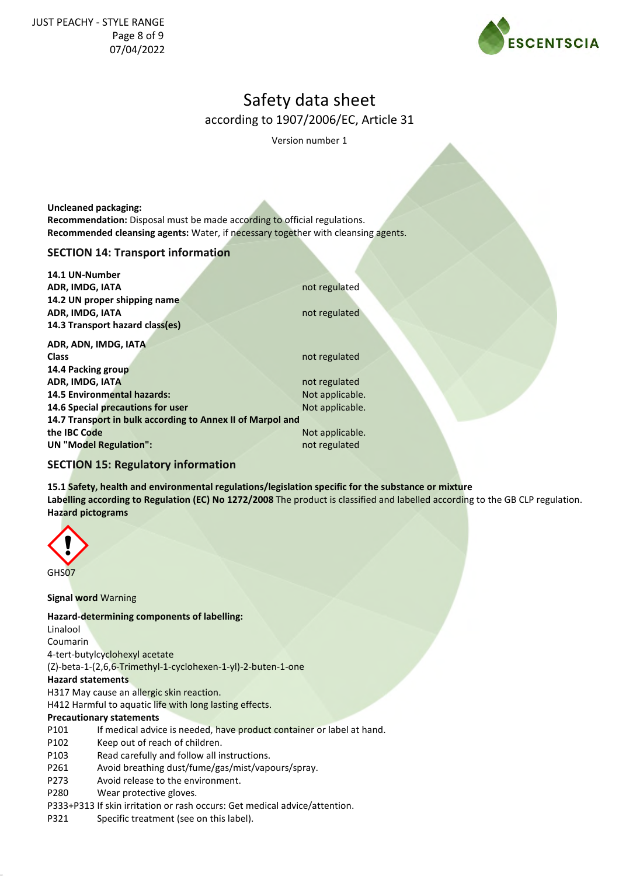

Version number 1

**Uncleaned packaging: Recommendation:** Disposal must be made according to official regulations. **Recommended cleansing agents:** Water, if necessary together with cleansing agents.

## **SECTION 14: Transport information**

**14.1 UN-Number ADR, IMDG, IATA** not regulated **14.2 UN proper shipping name ADR, IMDG, IATA** not regulated **14.3 Transport hazard class(es)**

**ADR, ADN, IMDG, IATA Class** not regulated **14.4 Packing group ADR, IMDG, IATA** not regulated **14.5 Environmental hazards:** Not applicable. **14.6 Special precautions for user** Not applicable. **14.7 Transport in bulk according to Annex II of Marpol and the IBC Code** Not applicable. **UN "Model Regulation":** not regulated

## **SECTION 15: Regulatory information**

**15.1 Safety, health and environmental regulations/legislation specific for the substance or mixture Labelling according to Regulation (EC) No 1272/2008** The product is classified and labelled according to the GB CLP regulation. **Hazard pictograms**



**Signal word** Warning

### **Hazard-determining components of labelling:**

Linalool Coumarin 4-tert-butylcyclohexyl acetate (Z)-beta-1-(2,6,6-Trimethyl-1-cyclohexen-1-yl)-2-buten-1-one **Hazard statements**

H317 May cause an allergic skin reaction.

H412 Harmful to aquatic life with long lasting effects.

#### **Precautionary statements**

- P101 If medical advice is needed, have product container or label at hand.
- P102 Keep out of reach of children.
- P103 Read carefully and follow all instructions.
- P261 Avoid breathing dust/fume/gas/mist/vapours/spray.
- P273 Avoid release to the environment.
- P280 Wear protective gloves.
- P333+P313 If skin irritation or rash occurs: Get medical advice/attention.
- P321 Specific treatment (see on this label).